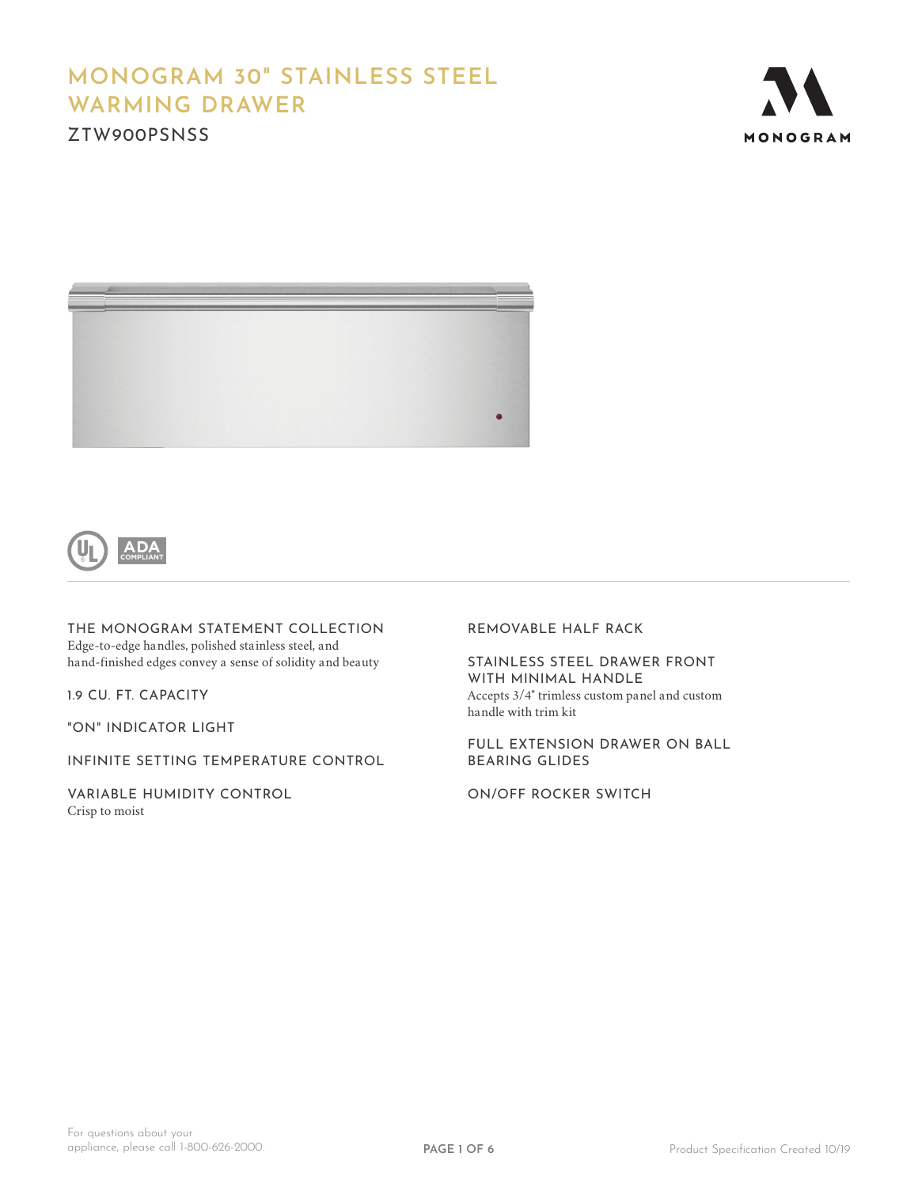# **MONOGRAM 30" STAINLESS STEEL WARMING DRAWER**

ZTW900PSNSS







THE MONOGRAM STATEMENT COLLECTION Edge-to-edge handles, polished stainless steel, and hand-finished edges convey a sense of solidity and beauty

1.9 CU. FT. CAPACITY

"ON" INDICATOR LIGHT

INFINITE SETTING TEMPERATURE CONTROL

VARIABLE HUMIDITY CONTROL Crisp to moist

REMOVABLE HALF RACK

STAINLESS STEEL DRAWER FRONT WITH MINIMAL HANDLE Accepts 3/4" trimless custom panel and custom handle with trim kit

FULL EXTENSION DRAWER ON BALL BEARING GLIDES

ON/OFF ROCKER SWITCH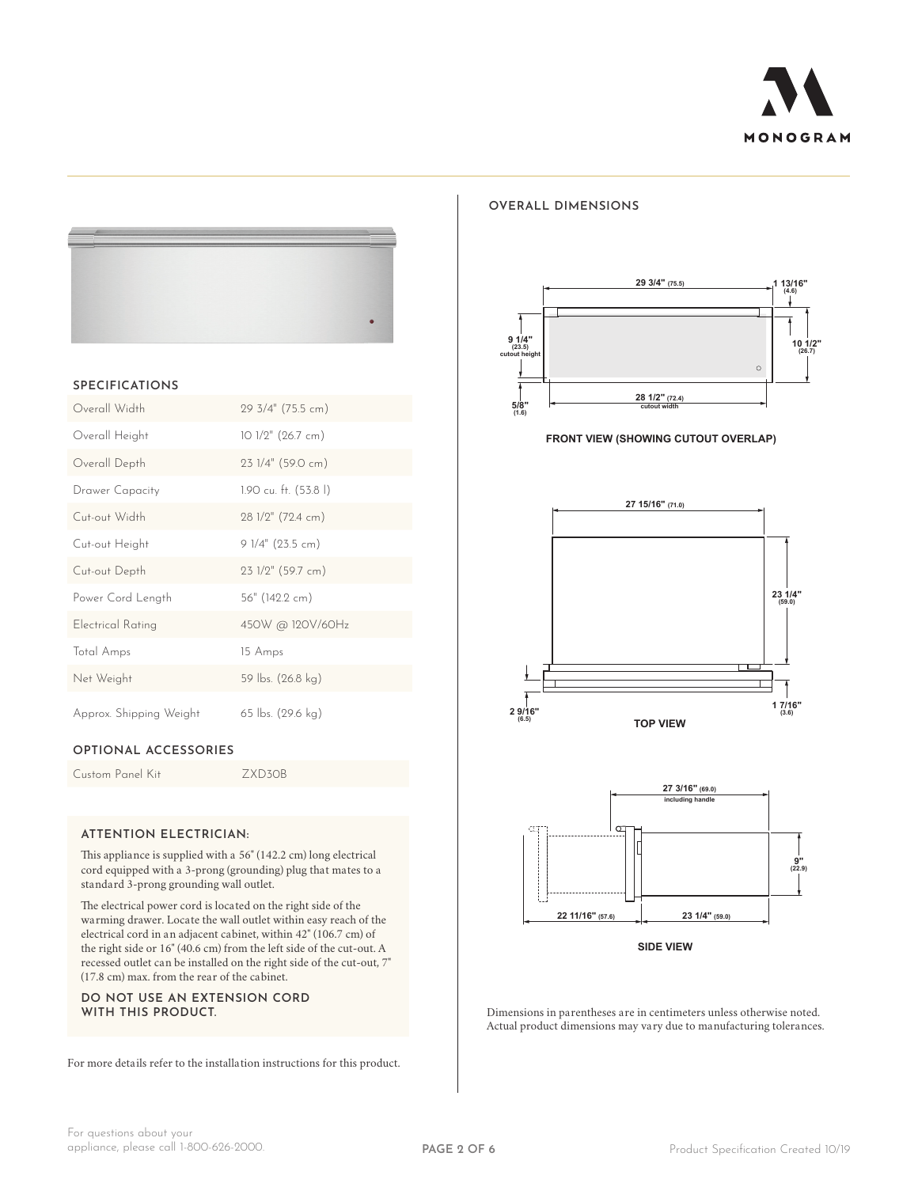

#### **SPECIFICATIONS**

| Overall Width           | 29 3/4" (75.5 cm)      |
|-------------------------|------------------------|
| Overall Height          | $101/2"$ (26.7 cm)     |
| Overall Depth           | 23 1/4" (59.0 cm)      |
| Drawer Capacity         | 1.90 cu. ft. (53.8 l)  |
| Cut-out Width           | $28$ $1/2$ " (72.4 cm) |
| Cut-out Height          | $91/4$ " (23.5 cm)     |
| Cut-out Depth           | $231/2$ " (59.7 cm)    |
| Power Cord Length       | 56" (142.2 cm)         |
| Electrical Rating       | 450W @ 120V/60Hz       |
| Total Amps              | 15 Amps                |
| Net Weight              | 59 lbs. (26.8 kg)      |
| Approx. Shipping Weight | 65 lbs. (29.6 kg)      |

### **OPTIONAL ACCESSORIES**

Custom Panel Kit ZXD30B

#### **ATTENTION ELECTRICIAN:**

This appliance is supplied with a 56" (142.2 cm) long electrical cord equipped with a 3-prong (grounding) plug that mates to a standard 3-prong grounding wall outlet.

The electrical power cord is located on the right side of the warming drawer. Locate the wall outlet within easy reach of the electrical cord in an adjacent cabinet, within 42" (106.7 cm) of the right side or 16" (40.6 cm) from the left side of the cut-out. A recessed outlet can be installed on the right side of the cut-out, 7" (17.8 cm) max. from the rear of the cabinet.

**DO NOT USE AN EXTENSION CORD WITH THIS PRODUCT.**

For more details refer to the installation instructions for this product.



**OVERALL DIMENSIONS**

**FRONT VIEW (SHOWING CUTOUT OVERLAP)**





Dimensions in parentheses are in centimeters unless otherwise noted. Actual product dimensions may vary due to manufacturing tolerances.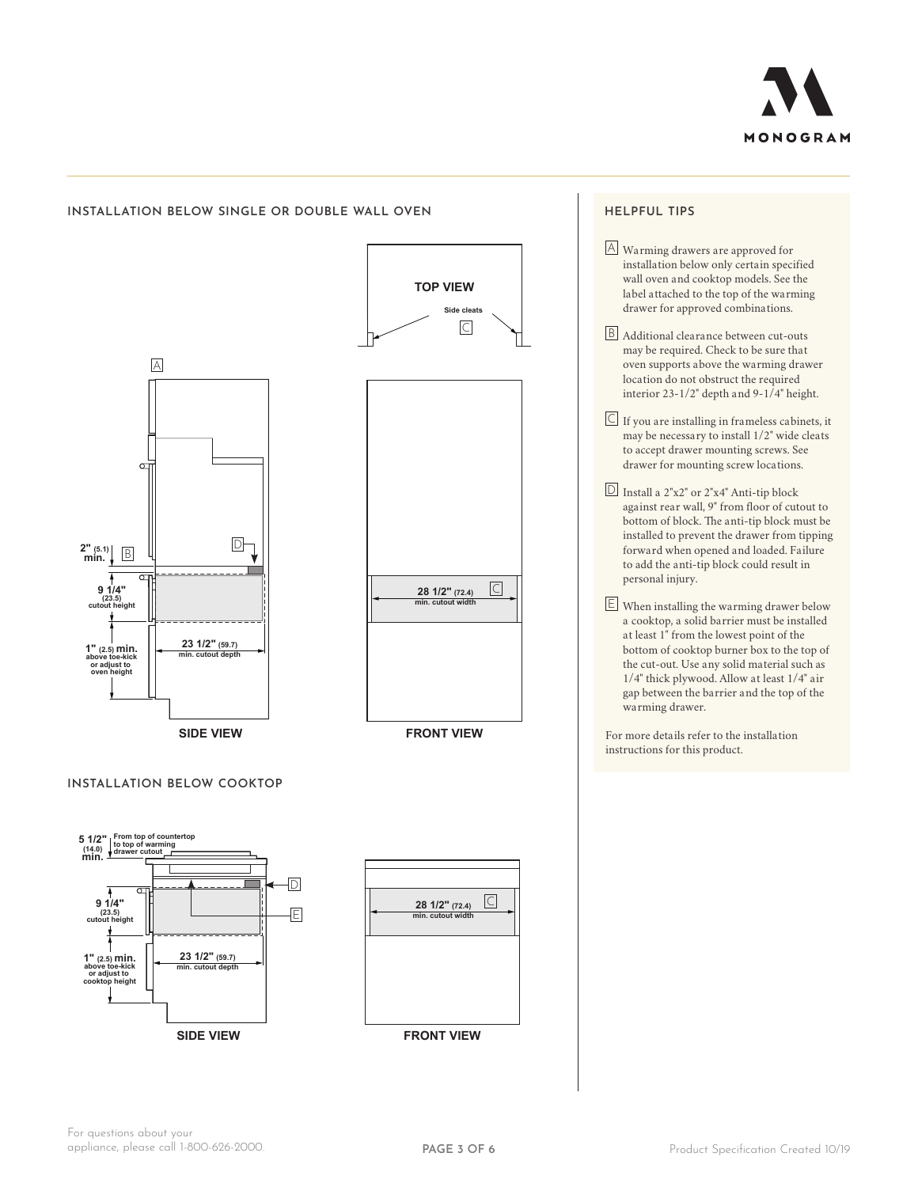

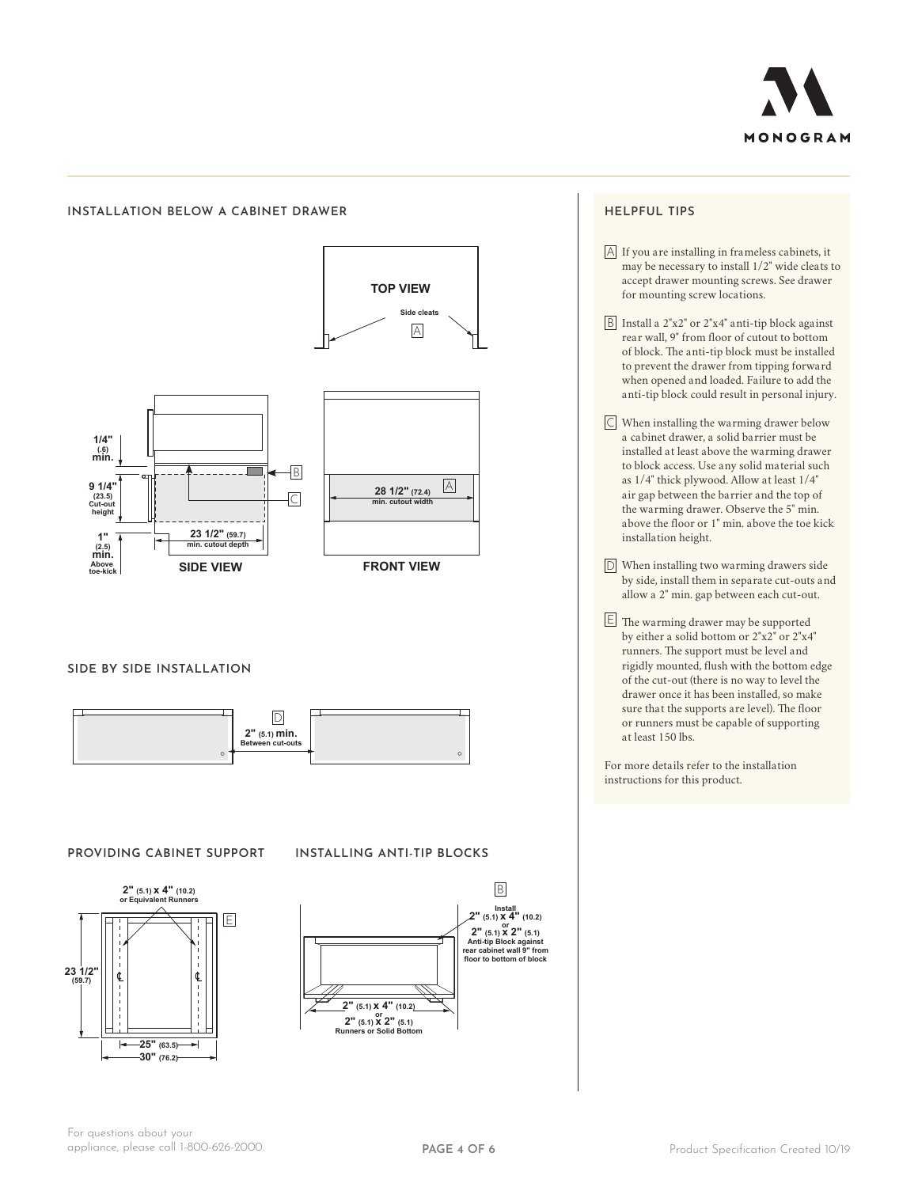

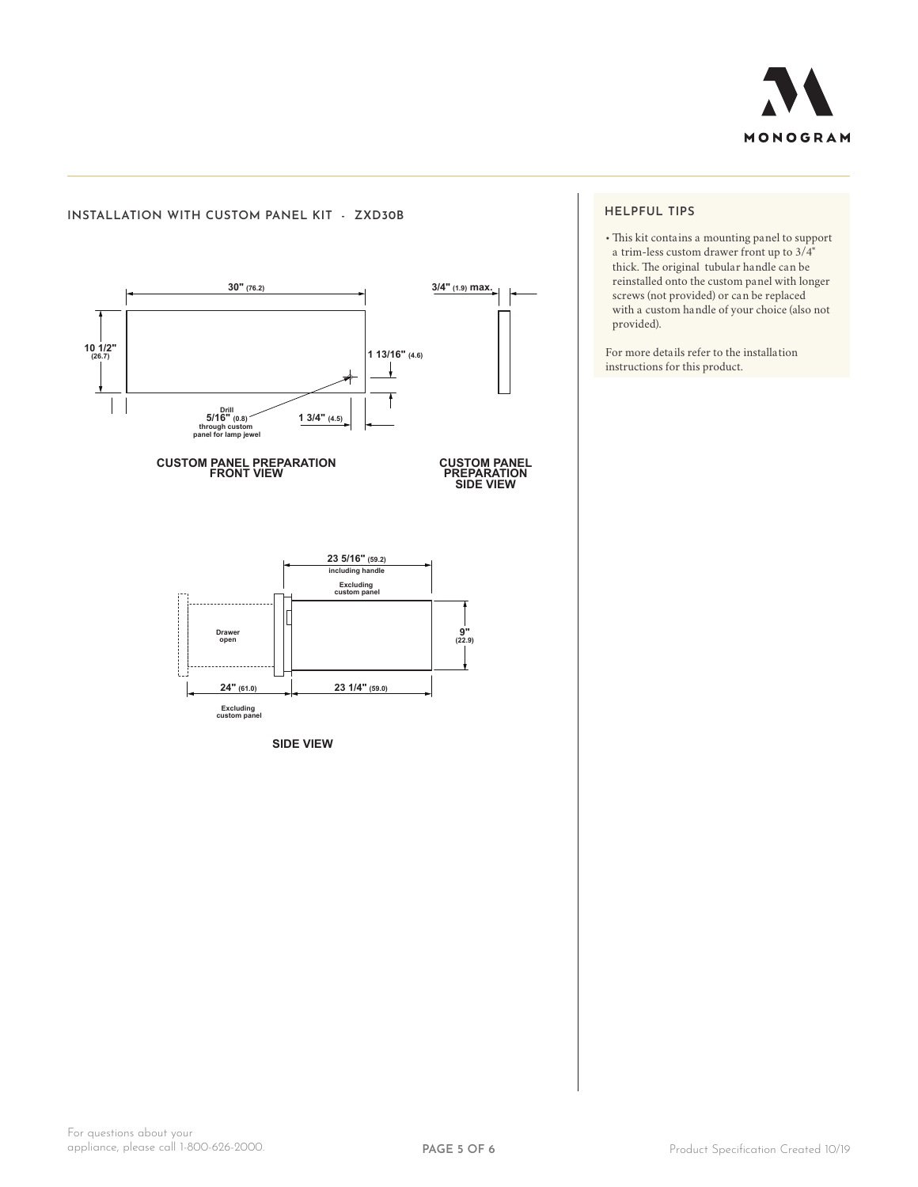



# **HELPFUL TIPS**

• This kit contains a mounting panel to support a trim-less custom drawer front up to 3/4" thick. The original tubular handle can be reinstalled onto the custom panel with longer screws (not provided) or can be replaced with a custom handle of your choice (also not provided).

For more details refer to the installation instructions for this product.